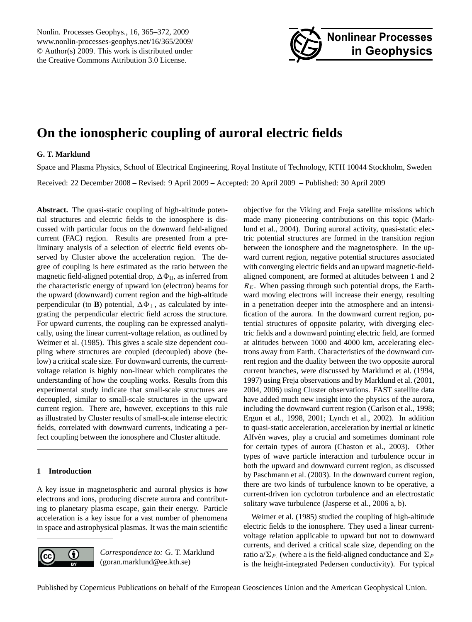<span id="page-0-0"></span>Nonlin. Processes Geophys., 16, 365–372, 2009 www.nonlin-processes-geophys.net/16/365/2009/ © Author(s) 2009. This work is distributed under the Creative Commons Attribution 3.0 License.



# **On the ionospheric coupling of auroral electric fields**

## **G. T. Marklund**

Space and Plasma Physics, School of Electrical Engineering, Royal Institute of Technology, KTH 10044 Stockholm, Sweden Received: 22 December 2008 – Revised: 9 April 2009 – Accepted: 20 April 2009 – Published: 30 April 2009

**Abstract.** The quasi-static coupling of high-altitude potential structures and electric fields to the ionosphere is discussed with particular focus on the downward field-aligned current (FAC) region. Results are presented from a preliminary analysis of a selection of electric field events observed by Cluster above the acceleration region. The degree of coupling is here estimated as the ratio between the magnetic field-aligned potential drop,  $\Delta \Phi_{II}$ , as inferred from the characteristic energy of upward ion (electron) beams for the upward (downward) current region and the high-altitude perpendicular (to **B**) potential,  $\Delta \Phi_{\perp}$ , as calculated by integrating the perpendicular electric field across the structure. For upward currents, the coupling can be expressed analytically, using the linear current-voltage relation, as outlined by Weimer et al. (1985). This gives a scale size dependent coupling where structures are coupled (decoupled) above (below) a critical scale size. For downward currents, the currentvoltage relation is highly non-linear which complicates the understanding of how the coupling works. Results from this experimental study indicate that small-scale structures are decoupled, similar to small-scale structures in the upward current region. There are, however, exceptions to this rule as illustrated by Cluster results of small-scale intense electric fields, correlated with downward currents, indicating a perfect coupling between the ionosphere and Cluster altitude.

# **1 Introduction**

A key issue in magnetospheric and auroral physics is how electrons and ions, producing discrete aurora and contributing to planetary plasma escape, gain their energy. Particle acceleration is a key issue for a vast number of phenomena in space and astrophysical plasmas. It was the main scientific



*Correspondence to:* G. T. Marklund (goran.marklund@ee.kth.se)

objective for the Viking and Freja satellite missions which made many pioneering contributions on this topic (Marklund et al., 2004). During auroral activity, quasi-static electric potential structures are formed in the transition region between the ionosphere and the magnetosphere. In the upward current region, negative potential structures associated with converging electric fields and an upward magnetic-fieldaligned component, are formed at altitudes between 1 and 2  $R<sub>E</sub>$ . When passing through such potential drops, the Earthward moving electrons will increase their energy, resulting in a penetration deeper into the atmosphere and an intensification of the aurora. In the downward current region, potential structures of opposite polarity, with diverging electric fields and a downward pointing electric field, are formed at altitudes between 1000 and 4000 km, accelerating electrons away from Earth. Characteristics of the downward current region and the duality between the two opposite auroral current branches, were discussed by Marklund et al. (1994, 1997) using Freja observations and by Marklund et al. (2001, 2004, 2006) using Cluster observations. FAST satellite data have added much new insight into the physics of the aurora, including the downward current region (Carlson et al., 1998; Ergun et al., 1998, 2001; Lynch et al., 2002). In addition to quasi-static acceleration, acceleration by inertial or kinetic Alfvén waves, play a crucial and sometimes dominant role for certain types of aurora (Chaston et al., 2003). Other types of wave particle interaction and turbulence occur in both the upward and downward current region, as discussed by Paschmann et al. (2003). In the downward current region, there are two kinds of turbulence known to be operative, a current-driven ion cyclotron turbulence and an electrostatic solitary wave turbulence (Jasperse et al., 2006 a, b).

Weimer et al. (1985) studied the coupling of high-altitude electric fields to the ionosphere. They used a linear currentvoltage relation applicable to upward but not to downward currents, and derived a critical scale size, depending on the ratio a/ $\Sigma_{P}$ . (where a is the field-aligned conductance and  $\Sigma_{P}$ is the height-integrated Pedersen conductivity). For typical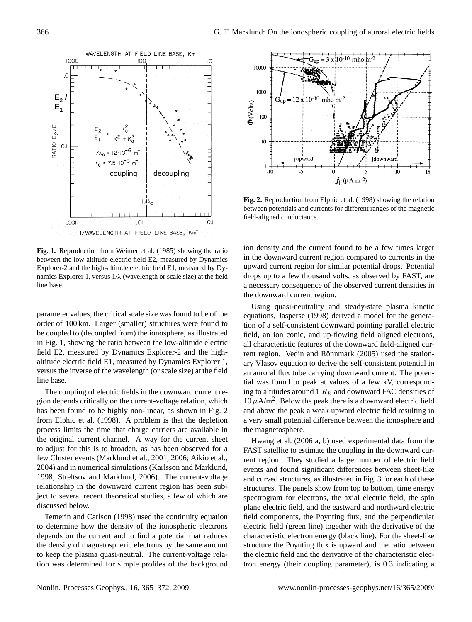WAVELENGTH AT FIELD LINE BASE, Km 1000  $\overline{C}$ IC  $\overline{1}$ .  $E_2$  *i*  $E_1$ RATIO  $E_2/E_1$ O.  $= 12 \cdot 10^{-7}$  $K_0 = 7.5 \cdot 10^{-5}$  m<sup>-1</sup> coupling decoupling IOO. IO.  $O, I$ I/WAVELENGTH AT FIELD LINE BASE, Km<sup>-1</sup>

**Fig. 1.** Reproduction from Weimer et al. (1985) showing the ratio between the low-altitude electric field E2, measured by Dynamics Explorer-2 and the high-altitude electric field E1, measured by Dynamics Explorer 1, versus  $1/\lambda$  (wavelength or scale size) at the field line base.

parameter values, the critical scale size was found to be of the order of 100 km. Larger (smaller) structures were found to be coupled to (decoupled from) the ionosphere, as illustrated in Fig. 1, showing the ratio between the low-altitude electric field E2, measured by Dynamics Explorer-2 and the highaltitude electric field E1, measured by Dynamics Explorer 1, versus the inverse of the wavelength (or scale size) at the field line base.

The coupling of electric fields in the downward current region depends critically on the current-voltage relation, which has been found to be highly non-linear, as shown in Fig. 2 from Elphic et al. (1998). A problem is that the depletion process limits the time that charge carriers are available in the original current channel. A way for the current sheet to adjust for this is to broaden, as has been observed for a few Cluster events (Marklund et al., 2001, 2006; Aikio et al., 2004) and in numerical simulations (Karlsson and Marklund, 1998; Streltsov and Marklund, 2006). The current-voltage relationship in the downward current region has been subject to several recent theoretical studies, a few of which are discussed below.

Temerin and Carlson (1998) used the continuity equation to determine how the density of the ionospheric electrons depends on the current and to find a potential that reduces the density of magnetospheric electrons by the same amount to keep the plasma quasi-neutral. The current-voltage relation was determined for simple profiles of the background



**Fig. 2.** Reproduction from Elphic et al. (1998) showing the relation between potentials and currents for different ranges of the magnetic field-aligned conductance.

ion density and the current found to be a few times larger in the downward current region compared to currents in the upward current region for similar potential drops. Potential drops up to a few thousand volts, as observed by FAST, are a necessary consequence of the observed current densities in the downward current region.

Using quasi-neutrality and steady-state plasma kinetic equations, Jasperse (1998) derived a model for the generation of a self-consistent downward pointing parallel electric field, an ion conic, and up-flowing field aligned electrons, all characteristic features of the downward field-aligned current region. Vedin and Rönnmark (2005) used the stationary Vlasov equation to derive the self-consistent potential in an auroral flux tube carrying downward current. The potential was found to peak at values of a few kV, corresponding to altitudes around 1  $R_E$  and downward FAC densities of  $10 \mu A/m^2$ . Below the peak there is a downward electric field and above the peak a weak upward electric field resulting in a very small potential difference between the ionosphere and the magnetosphere.

Hwang et al. (2006 a, b) used experimental data from the FAST satellite to estimate the coupling in the downward current region. They studied a large number of electric field events and found significant differences between sheet-like and curved structures, as illustrated in Fig. 3 for each of these structures. The panels show from top to bottom, time energy spectrogram for electrons, the axial electric field, the spin plane electric field, and the eastward and northward electric field components, the Poynting flux, and the perpendicular electric field (green line) together with the derivative of the characteristic electron energy (black line). For the sheet-like structure the Poynting flux is upward and the ratio between the electric field and the derivative of the characteristic electron energy (their coupling parameter), is 0.3 indicating a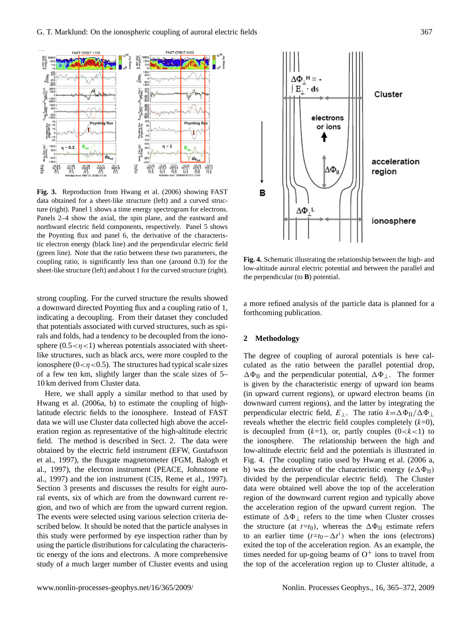

**Fig. 3.** Reproduction from Hwang et al. (2006) showing FAST data obtained for a sheet-like structure (left) and a curved structure (right). Panel 1 shows a time energy spectrogram for electrons. Panels 2–4 show the axial, the spin plane, and the eastward and northward electric field components, respectively. Panel 5 shows the Poynting flux and panel 6, the derivative of the characteristic electron energy (black line) and the perpendicular electric field (green line). Note that the ratio between these two parameters, the coupling ratio, is significantly less than one (around 0.3) for the sheet-like structure (left) and about 1 for the curved structure (right).

strong coupling. For the curved structure the results showed a downward directed Poynting flux and a coupling ratio of 1, indicating a decoupling. From their dataset they concluded that potentials associated with curved structures, such as spirals and folds, had a tendency to be decoupled from the ionosphere  $(0.5 < \eta < 1)$  whereas potentials associated with sheetlike structures, such as black arcs, were more coupled to the ionosphere ( $0 < \eta < 0.5$ ). The structures had typical scale sizes of a few ten km, slightly larger than the scale sizes of 5– 10 km derived from Cluster data.

Here, we shall apply a similar method to that used by Hwang et al. (2006a, b) to estimate the coupling of highlatitude electric fields to the ionosphere. Instead of FAST data we will use Cluster data collected high above the acceleration region as representative of the high-altitude electric field. The method is described in Sect. 2. The data were obtained by the electric field instrument (EFW, Gustafsson et al., 1997), the fluxgate magnetometer (FGM, Balogh et al., 1997), the electron instrument (PEACE, Johnstone et al., 1997) and the ion instrument (CIS, Reme et al., 1997). Section 3 presents and discusses the results for eight auroral events, six of which are from the downward current region, and two of which are from the upward current region. The events were selected using various selection criteria described below. It should be noted that the particle analyses in this study were performed by eye inspection rather than by using the particle distributions for calculating the characteristic energy of the ions and electrons. A more comprehensive study of a much larger number of Cluster events and using



**Fig. 4.** Schematic illustrating the relationship between the high- and low-altitude auroral electric potential and between the parallel and the perpendicular (to **B**) potential.

a more refined analysis of the particle data is planned for a forthcoming publication.

## **2 Methodology**

The degree of coupling of auroral potentials is here calculated as the ratio between the parallel potential drop,  $\Delta\Phi_{II}$  and the perpendicular potential,  $\Delta\Phi_{\perp}$ . The former is given by the characteristic energy of upward ion beams (in upward current regions), or upward electron beams (in downward current regions), and the latter by integrating the perpendicular electric field,  $E_{\perp}$ . The ratio  $k=\Delta\Phi_{II}/\Delta\Phi_{\perp}$ reveals whether the electric field couples completely  $(k=0)$ , is decoupled from  $(k=1)$ , or, partly couples  $(0 < k < 1)$  to the ionosphere. The relationship between the high and low-altitude electric field and the potentials is illustrated in Fig. 4. (The coupling ratio used by Hwang et al. (2006 a, b) was the derivative of the characteristic energy  $(e\Delta\Phi_{II})$ divided by the perpendicular electric field). The Cluster data were obtained well above the top of the acceleration region of the downward current region and typically above the acceleration region of the upward current region. The estimate of  $\Delta \Phi_{\perp}$  refers to the time when Cluster crosses the structure (at  $t=t_0$ ), whereas the  $\Delta \Phi_{II}$  estimate refers to an earlier time  $(t=t_0 - \Delta t^i)$  when the ions (electrons) exited the top of the acceleration region. As an example, the times needed for up-going beams of  $O<sup>+</sup>$  ions to travel from the top of the acceleration region up to Cluster altitude, a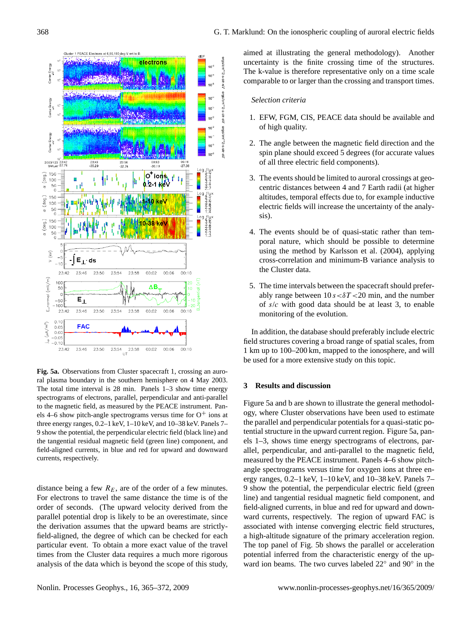

**Fig. 5a.** Observations from Cluster spacecraft 1, crossing an auroral plasma boundary in the southern hemisphere on 4 May 2003. The total time interval is 28 min. Panels 1–3 show time energy spectrograms of electrons, parallel, perpendicular and anti-parallel to the magnetic field, as measured by the PEACE instrument. Panels 4–6 show pitch-angle spectrograms versus time for  $O^+$  ions at three energy ranges, 0.2–1 keV, 1–10 keV, and 10–38 keV. Panels 7– 9 show the potential, the perpendicular electric field (black line) and the tangential residual magnetic field (green line) component, and field-aligned currents, in blue and red for upward and downward currents, respectively.

distance being a few  $R_E$ , are of the order of a few minutes. For electrons to travel the same distance the time is of the order of seconds. (The upward velocity derived from the parallel potential drop is likely to be an overestimate, since the derivation assumes that the upward beams are strictlyfield-aligned, the degree of which can be checked for each particular event. To obtain a more exact value of the travel times from the Cluster data requires a much more rigorous analysis of the data which is beyond the scope of this study, aimed at illustrating the general methodology). Another uncertainty is the finite crossing time of the structures. The k-value is therefore representative only on a time scale comparable to or larger than the crossing and transport times.

#### *Selection criteria*

- 1. EFW, FGM, CIS, PEACE data should be available and of high quality.
- 2. The angle between the magnetic field direction and the spin plane should exceed 5 degrees (for accurate values of all three electric field components).
- 3. The events should be limited to auroral crossings at geocentric distances between 4 and 7 Earth radii (at higher altitudes, temporal effects due to, for example inductive electric fields will increase the uncertainty of the analysis).
- 4. The events should be of quasi-static rather than temporal nature, which should be possible to determine using the method by Karlsson et al. (2004), applying cross-correlation and minimum-B variance analysis to the Cluster data.
- 5. The time intervals between the spacecraft should preferably range between  $10 s < \delta T < 20$  min, and the number of  $s/c$  with good data should be at least 3, to enable monitoring of the evolution.

In addition, the database should preferably include electric field structures covering a broad range of spatial scales, from 1 km up to 100–200 km, mapped to the ionosphere, and will be used for a more extensive study on this topic.

## **3 Results and discussion**

Figure 5a and b are shown to illustrate the general methodology, where Cluster observations have been used to estimate the parallel and perpendicular potentials for a quasi-static potential structure in the upward current region. Figure 5a, panels 1–3, shows time energy spectrograms of electrons, parallel, perpendicular, and anti-parallel to the magnetic field, measured by the PEACE instrument. Panels 4–6 show pitchangle spectrograms versus time for oxygen ions at three energy ranges, 0.2–1 keV, 1–10 keV, and 10–38 keV. Panels 7– 9 show the potential, the perpendicular electric field (green line) and tangential residual magnetic field component, and field-aligned currents, in blue and red for upward and downward currents, respectively. The region of upward FAC is associated with intense converging electric field structures, a high-altitude signature of the primary acceleration region. The top panel of Fig. 5b shows the parallel or acceleration potential inferred from the characteristic energy of the upward ion beams. The two curves labeled 22◦ and 90◦ in the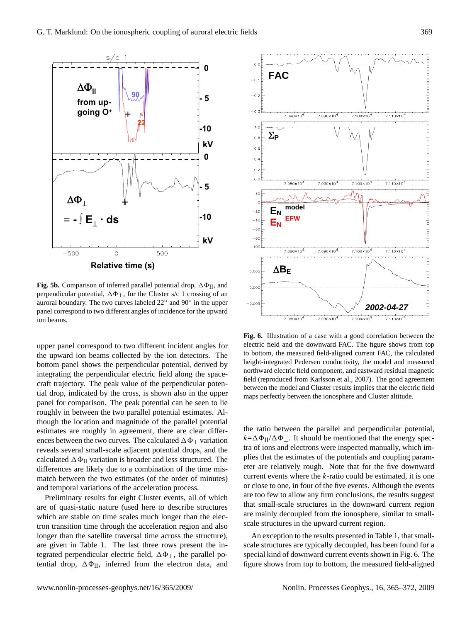

**Fig. 5b.** Comparison of inferred parallel potential drop,  $\Delta \Phi_{II}$ , and perpendicular potential,  $\Delta \Phi_{\perp}$ , for the Cluster s/c 1 crossing of an auroral boundary. The two curves labeled 22◦ and 90◦ in the upper panel correspond to two different angles of incidence for the upward ion beams.

upper panel correspond to two different incident angles for the upward ion beams collected by the ion detectors. The bottom panel shows the perpendicular potential, derived by integrating the perpendicular electric field along the spacecraft trajectory. The peak value of the perpendicular potential drop, indicated by the cross, is shown also in the upper panel for comparison. The peak potential can be seen to lie roughly in between the two parallel potential estimates. Although the location and magnitude of the parallel potential estimates are roughly in agreement, there are clear differences between the two curves. The calculated  $\Delta\Phi_{\perp}$  variation reveals several small-scale adjacent potential drops, and the calculated  $\Delta \Phi_{II}$  variation is broader and less structured. The differences are likely due to a combination of the time mismatch between the two estimates (of the order of minutes) and temporal variations of the acceleration process.

Preliminary results for eight Cluster events, all of which are of quasi-static nature (used here to describe structures which are stable on time scales much longer than the electron transition time through the acceleration region and also longer than the satellite traversal time across the structure), are given in Table 1. The last three rows present the integrated perpendicular electric field,  $\Delta \Phi_{\perp}$ , the parallel potential drop,  $\Delta \Phi_{II}$ , inferred from the electron data, and



**Fig. 6.** Illustration of a case with a good correlation between the electric field and the downward FAC. The figure shows from top to bottom, the measured field-aligned current FAC, the calculated height-integrated Pedersen conductivity, the model and measured northward electric field component, and eastward residual magnetic field (reproduced from Karlsson et al., 2007). The good agreement between the model and Cluster results implies that the electric field maps perfectly between the ionosphere and Cluster altitude.

the ratio between the parallel and perpendicular potential,  $k=\Delta\Phi_{II}/\Delta\Phi_{\perp}$ . It should be mentioned that the energy spectra of ions and electrons were inspected manually, which implies that the estimates of the potentials and coupling parameter are relatively rough. Note that for the five downward current events where the  $k$ -ratio could be estimated, it is one or close to one, in four of the five events. Although the events are too few to allow any firm conclusions, the results suggest that small-scale structures in the downward current region are mainly decoupled from the ionosphere, similar to smallscale structures in the upward current region.

An exception to the results presented in Table 1, that smallscale structures are typically decoupled, has been found for a special kind of downward current events shown in Fig. 6. The figure shows from top to bottom, the measured field-aligned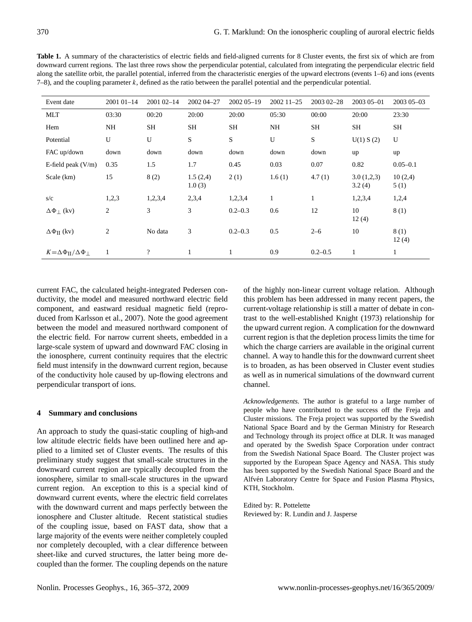**Table 1.** A summary of the characteristics of electric fields and field-aligned currents for 8 Cluster events, the first six of which are from downward current regions. The last three rows show the perpendicular potential, calculated from integrating the perpendicular electric field along the satellite orbit, the parallel potential, inferred from the characteristic energies of the upward electrons (events 1–6) and ions (events  $7-8$ ), and the coupling parameter k, defined as the ratio between the parallel potential and the perpendicular potential.

| Event date                                          | 2001 01 - 14 | 2001 02-14                 | 2002 04 - 27       | 2002 05-19   | 2002 11 - 25 | 2003 02-28  | 2003 05-01           | 2003 05 - 03    |
|-----------------------------------------------------|--------------|----------------------------|--------------------|--------------|--------------|-------------|----------------------|-----------------|
| <b>MLT</b>                                          | 03:30        | 00:20                      | 20:00              | 20:00        | 05:30        | 00:00       | 20:00                | 23:30           |
| Hem                                                 | NH           | <b>SH</b>                  | <b>SH</b>          | SH           | <b>NH</b>    | SH          | SH                   | SH              |
| Potential                                           | U            | U                          | S                  | S            | U            | S           | U(1) S(2)            | U               |
| FAC up/down                                         | down         | down                       | down               | down         | down         | down        | up                   | up              |
| E-field peak $(V/m)$                                | 0.35         | 1.5                        | 1.7                | 0.45         | 0.03         | 0.07        | 0.82                 | $0.05 - 0.1$    |
| Scale (km)                                          | 15           | 8(2)                       | 1.5(2,4)<br>1.0(3) | 2(1)         | 1.6(1)       | 4.7(1)      | 3.0(1,2,3)<br>3.2(4) | 10(2,4)<br>5(1) |
| s/c                                                 | 1,2,3        | 1,2,3,4                    | 2,3,4              | 1,2,3,4      | $\mathbf{1}$ | 1           | 1,2,3,4              | 1,2,4           |
| $\Delta\Phi_{\perp}$ (kv)                           | 2            | 3                          | 3                  | $0.2 - 0.3$  | 0.6          | 12          | 10<br>12(4)          | 8(1)            |
| $\Delta\Phi_{II}$ (kv)                              | 2            | No data                    | 3                  | $0.2 - 0.3$  | 0.5          | $2 - 6$     | 10                   | 8(1)<br>12(4)   |
| $K = \Delta \Phi_{\text{II}} / \Delta \Phi_{\perp}$ | 1            | $\boldsymbol{\mathcal{P}}$ | $\mathbf{1}$       | $\mathbf{1}$ | 0.9          | $0.2 - 0.5$ | 1                    | 1               |

current FAC, the calculated height-integrated Pedersen conductivity, the model and measured northward electric field component, and eastward residual magnetic field (reproduced from Karlsson et al., 2007). Note the good agreement between the model and measured northward component of the electric field. For narrow current sheets, embedded in a large-scale system of upward and downward FAC closing in the ionosphere, current continuity requires that the electric field must intensify in the downward current region, because of the conductivity hole caused by up-flowing electrons and perpendicular transport of ions.

# **4 Summary and conclusions**

An approach to study the quasi-static coupling of high-and low altitude electric fields have been outlined here and applied to a limited set of Cluster events. The results of this preliminary study suggest that small-scale structures in the downward current region are typically decoupled from the ionosphere, similar to small-scale structures in the upward current region. An exception to this is a special kind of downward current events, where the electric field correlates with the downward current and maps perfectly between the ionosphere and Cluster altitude. Recent statistical studies of the coupling issue, based on FAST data, show that a large majority of the events were neither completely coupled nor completely decoupled, with a clear difference between sheet-like and curved structures, the latter being more decoupled than the former. The coupling depends on the nature

of the highly non-linear current voltage relation. Although this problem has been addressed in many recent papers, the current-voltage relationship is still a matter of debate in contrast to the well-established Knight (1973) relationship for the upward current region. A complication for the downward current region is that the depletion process limits the time for which the charge carriers are available in the original current channel. A way to handle this for the downward current sheet is to broaden, as has been observed in Cluster event studies as well as in numerical simulations of the downward current channel.

*Acknowledgements.* The author is grateful to a large number of people who have contributed to the success off the Freja and Cluster missions. The Freja project was supported by the Swedish National Space Board and by the German Ministry for Research and Technology through its project office at DLR. It was managed and operated by the Swedish Space Corporation under contract from the Swedish National Space Board. The Cluster project was supported by the European Space Agency and NASA. This study has been supported by the Swedish National Space Board and the Alfvén Laboratory Centre for Space and Fusion Plasma Physics, KTH, Stockholm.

Edited by: R. Pottelette Reviewed by: R. Lundin and J. Jasperse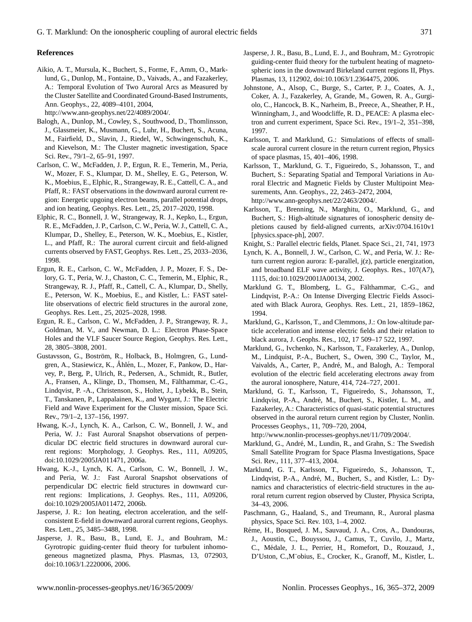### **References**

Aikio, A. T., Mursula, K., Buchert, S., Forme, F., Amm, O., Marklund, G., Dunlop, M., Fontaine, D., Vaivads, A., and Fazakerley, A.: Temporal Evolution of Two Auroral Arcs as Measured by the Cluster Satellite and Coordinated Ground-Based Instruments, Ann. Geophys., 22, 4089–4101, 2004,

[http://www.ann-geophys.net/22/4089/2004/.](http://www.ann-geophys.net/22/4089/2004/)

- Balogh, A., Dunlop, M., Cowley, S., Southwood, D., Thomlinsson, J., Glassmeier, K., Musmann, G., Luhr, H., Buchert, S., Acuna, M., Fairfield, D., Slavin, J., Riedel, W., Schwingenschuh, K., and Kievelson, M.: The Cluster magnetic investigation, Space Sci. Rev., 79/1–2, 65–91, 1997.
- Carlson, C. W., McFadden, J. P., Ergun, R. E., Temerin, M., Peria, W., Mozer, F. S., Klumpar, D. M., Shelley, E. G., Peterson, W. K., Moebius, E., Elphic, R., Strangeway, R. E., Cattell, C. A., and Pfaff, R.: FAST observations in the downward auroral current region: Energetic upgoing electron beams, parallel potential drops, and ion heating, Geophys. Res. Lett., 25, 2017–2020, 1998.
- Elphic, R. C., Bonnell, J. W., Strangeway, R. J., Kepko, L., Ergun, R. E., McFadden, J. P., Carlson, C. W., Peria, W. J., Cattell, C. A., Klumpar, D., Shelley, E., Peterson, W. K., Moebius, E., Kistler, L., and Pfaff, R.: The auroral current circuit and field-aligned currents observed by FAST, Geophys. Res. Lett., 25, 2033–2036, 1998.
- Ergun, R. E., Carlson, C. W., McFadden, J. P., Mozer, F. S., Delory, G. T., Peria, W. J., Chaston, C. C., Temerin, M., Elphic, R., Strangeway, R. J., Pfaff, R., Cattell, C. A., Klumpar, D., Shelly, E., Peterson, W. K., Moebius, E., and Kistler, L.: FAST satellite observations of electric field structures in the auroral zone, Geophys. Res. Lett., 25, 2025–2028, 1998.
- Ergun, R. E., Carlson, C. W., McFadden, J. P., Strangeway, R. J., Goldman, M. V., and Newman, D. L.: Electron Phase-Space Holes and the VLF Saucer Source Region, Geophys. Res. Lett., 28, 3805–3808, 2001.
- Gustavsson, G., Boström, R., Holback, B., Holmgren, G., Lundgren, A., Stasiewicz, K., Åhlén, L., Mozer, F., Pankow, D., Harvey, P., Berg, P., Ulrich, R., Pedersen, A., Schmidt, R., Butler, A., Fransen, A., Klinge, D., Thomsen, M., Fälthammar, C.-G., Lindqvist, P. -A., Christenson, S., Holtet, J., Lybekk, B., Stein, T., Tanskanen, P., Lappalainen, K., and Wygant, J.: The Electric Field and Wave Experiment for the Cluster mission, Space Sci. Rev., 79/1–2, 137–156, 1997.
- Hwang, K.-J., Lynch, K. A., Carlson, C. W., Bonnell, J. W., and Peria, W. J.: Fast Auroral Snapshot observations of perpendicular DC electric field structures in downward auroral current regions: Morphology, J. Geophys. Res., 111, A09205, doi:10.1029/2005JA011471, 2006a.
- Hwang, K.-J., Lynch, K. A., Carlson, C. W., Bonnell, J. W., and Peria, W. J.: Fast Auroral Snapshot observations of perpendicular DC electric field structures in downward current regions: Implications, J. Geophys. Res., 111, A09206, doi:10.1029/2005JA011472, 2006b.
- Jasperse, J. R.: Ion heating, electron acceleration, and the selfconsistent E-field in downward auroral current regions, Geophys. Res. Lett., 25, 3485–3488, 1998.
- Jasperse, J. R., Basu, B., Lund, E. J., and Bouhram, M.: Gyrotropic guiding-center fluid theory for turbulent inhomogeneous magnetized plasma, Phys. Plasmas, 13, 072903, doi:10.1063/1.2220006, 2006.
- Jasperse, J. R., Basu, B., Lund, E. J., and Bouhram, M.: Gyrotropic guiding-center fluid theory for the turbulent heating of magnetospheric ions in the downward Birkeland current regions II, Phys. Plasmas, 13, 112902, doi:10.1063/1.2364475, 2006.
- Johnstone, A., Alsop, C., Burge, S., Carter, P. J., Coates, A. J., Coker, A. J., Fazakerley, A, Grande, M., Gowen, R. A., Gurgiolo, C., Hancock, B. K., Narheim, B., Preece, A., Sheather, P. H., Winningham, J., and Woodcliffe, R. D., PEACE: A plasma electron and current experiment, Space Sci. Rev., 19/1–2, 351–398, 1997.
- Karlsson, T. and Marklund, G.: Simulations of effects of smallscale auroral current closure in the return current region, Physics of space plasmas, 15, 401–406, 1998.
- Karlsson, T., Marklund, G. T., Figueiredo, S., Johansson, T., and Buchert, S.: Separating Spatial and Temporal Variations in Auroral Electric and Magnetic Fields by Cluster Multipoint Measurements, Ann. Geophys., 22, 2463–2472, 2004, [http://www.ann-geophys.net/22/2463/2004/.](http://www.ann-geophys.net/22/2463/2004/)
- Karlsson, T., Brenning, N., Marghitu, O., Marklund, G., and Buchert, S.: High-altitude signatures of ionospheric density depletions caused by field-aligned currents, arXiv:0704.1610v1 [physics.space-ph], 2007.
- Knight, S.: Parallel electric fields, Planet. Space Sci., 21, 741, 1973
- Lynch, K. A., Bonnell, J. W., Carlson, C. W., and Peria, W. J.: Return current region aurora: E-parallel, j(z), particle energization, and broadband ELF wave activity, J. Geophys. Res., 107(A7), 1115, doi:10.1029/2001JA00134, 2002.
- Marklund G. T., Blomberg, L. G., Fälthammar, C.-G., and Lindqvist, P.-A.: On Intense Diverging Electric Fields Associated with Black Aurora, Geophys. Res. Lett., 21, 1859–1862, 1994.
- Marklund, G., Karlsson, T., and Clemmons, J.: On low-altitude particle acceleration and intense electric fields and their relation to black aurora, J. Geophs. Res., 102, 17 509–17 522, 1997.
- Marklund, G., Ivchenko, N., Karlsson, T., Fazakerley, A., Dunlop, M., Lindquist, P.-A., Buchert, S., Owen, 390 C., Taylor, M., Vaivalds, A., Carter, P., André, M., and Balogh, A.: Temporal evolution of the electric field accelerating electrons away from the auroral ionosphere, Nature, 414, 724–727, 2001.
- Marklund, G. T., Karlsson, T., Figueiredo, S., Johansson, T., Lindqvist, P.-A., André, M., Buchert, S., Kistler, L. M., and Fazakerley, A.: Characteristics of quasi-static potential structures observed in the auroral return current region by Cluster, Nonlin. Processes Geophys., 11, 709–720, 2004,

[http://www.nonlin-processes-geophys.net/11/709/2004/.](http://www.nonlin-processes-geophys.net/11/709/2004/)

- Marklund, G., André, M., Lundin, R., and Grahn, S.: The Swedish Small Satellite Program for Space Plasma Investigations, Space Sci. Rev., 111, 377–413, 2004.
- Marklund, G. T., Karlsson, T., Figueiredo, S., Johansson, T., Lindqvist, P.-A., André, M., Buchert, S., and Kistler, L.: Dynamics and characteristics of electric-field structures in the auroral return current region observed by Cluster, Physica Scripta, 34–43, 2006.
- Paschmann, G., Haaland, S., and Treumann, R., Auroral plasma physics, Space Sci. Rev. 103, 1–4, 2002.
- Réme, H., Bosqued, J. M., Sauvaud, J. A., Cros, A., Dandouras, J., Aoustin, C., Bouyssou, J., Camus, T., Cuvilo, J., Martz, C., Medale, J. L., Perrier, H., Romefort, D., Rouzaud, J., ´ D'Uston, C.,M¨obius, E., Crocker, K., Granoff, M., Kistler, L.